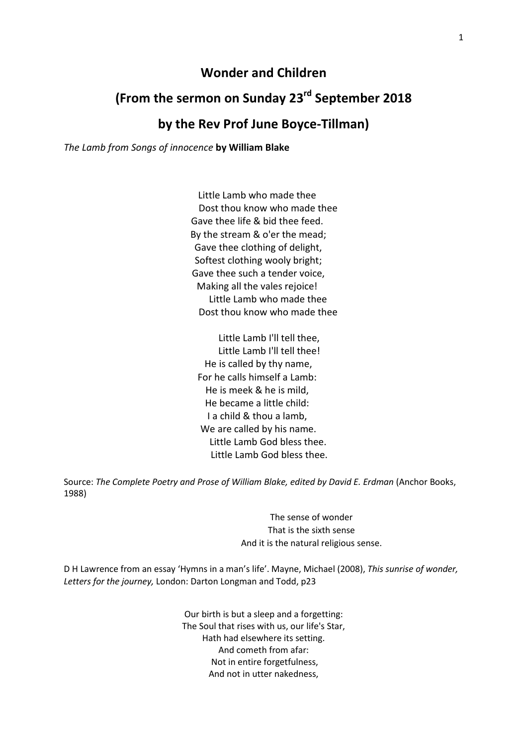### **Wonder and Children**

# **(From the sermon on Sunday 23rd September 2018**

## **by the Rev Prof June Boyce-Tillman)**

*The Lamb from Songs of innocence* **by William Blake**

Little Lamb who made thee Dost thou know who made thee Gave thee life & bid thee feed. By the stream & o'er the mead; Gave thee clothing of delight, Softest clothing wooly bright; Gave thee such a tender voice, Making all the vales rejoice! Little Lamb who made thee Dost thou know who made thee

 Little Lamb I'll tell thee, Little Lamb I'll tell thee! He is called by thy name, For he calls himself a Lamb: He is meek & he is mild, He became a little child: I a child & thou a lamb, We are called by his name. Little Lamb God bless thee. Little Lamb God bless thee.

Source: *The Complete Poetry and Prose of William Blake, edited by David E. Erdman* (Anchor Books, 1988)

> The sense of wonder That is the sixth sense And it is the natural religious sense.

D H Lawrence from an essay 'Hymns in a man's life'. Mayne, Michael (2008), *This sunrise of wonder, Letters for the journey,* London: Darton Longman and Todd, p23

> Our birth is but a sleep and a forgetting: The Soul that rises with us, our life's Star, Hath had elsewhere its setting. And cometh from afar: Not in entire forgetfulness, And not in utter nakedness,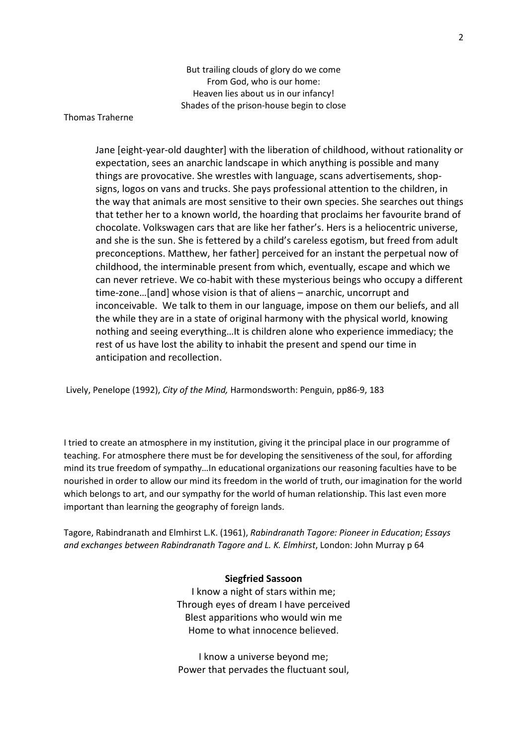But trailing clouds of glory do we come From God, who is our home: Heaven lies about us in our infancy! Shades of the prison-house begin to close

#### Thomas Traherne

Jane [eight-year-old daughter] with the liberation of childhood, without rationality or expectation, sees an anarchic landscape in which anything is possible and many things are provocative. She wrestles with language, scans advertisements, shopsigns, logos on vans and trucks. She pays professional attention to the children, in the way that animals are most sensitive to their own species. She searches out things that tether her to a known world, the hoarding that proclaims her favourite brand of chocolate. Volkswagen cars that are like her father's. Hers is a heliocentric universe, and she is the sun. She is fettered by a child's careless egotism, but freed from adult preconceptions. Matthew, her father] perceived for an instant the perpetual now of childhood, the interminable present from which, eventually, escape and which we can never retrieve. We co-habit with these mysterious beings who occupy a different time-zone…[and] whose vision is that of aliens – anarchic, uncorrupt and inconceivable. We talk to them in our language, impose on them our beliefs, and all the while they are in a state of original harmony with the physical world, knowing nothing and seeing everything…It is children alone who experience immediacy; the rest of us have lost the ability to inhabit the present and spend our time in anticipation and recollection.

Lively, Penelope (1992), *City of the Mind,* Harmondsworth: Penguin, pp86-9, 183

I tried to create an atmosphere in my institution, giving it the principal place in our programme of teaching. For atmosphere there must be for developing the sensitiveness of the soul, for affording mind its true freedom of sympathy…In educational organizations our reasoning faculties have to be nourished in order to allow our mind its freedom in the world of truth, our imagination for the world which belongs to art, and our sympathy for the world of human relationship. This last even more important than learning the geography of foreign lands.

Tagore, Rabindranath and Elmhirst L.K. (1961), *Rabindranath Tagore: Pioneer in Education*; *Essays and exchanges between Rabindranath Tagore and L. K. Elmhirst*, London: John Murray p 64

#### **Siegfried Sassoon**

I know a night of stars within me; Through eyes of dream I have perceived Blest apparitions who would win me Home to what innocence believed.

I know a universe beyond me; Power that pervades the fluctuant soul,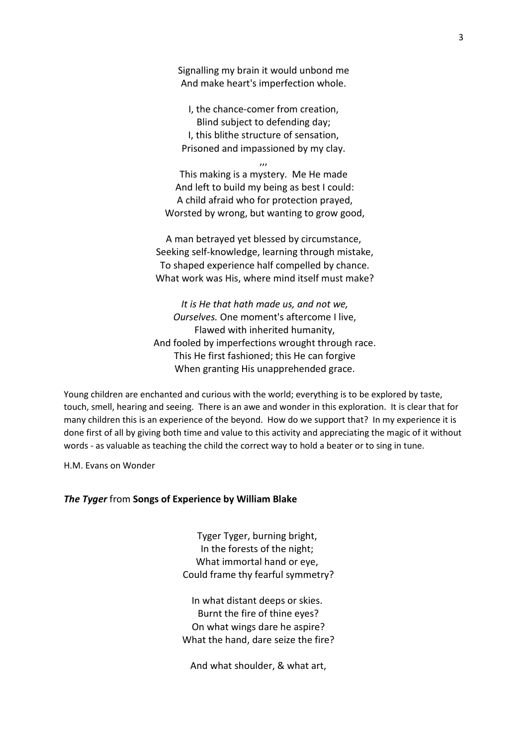Signalling my brain it would unbond me And make heart's imperfection whole.

I, the chance-comer from creation, Blind subject to defending day; I, this blithe structure of sensation, Prisoned and impassioned by my clay.

,,, This making is a mystery. Me He made And left to build my being as best I could: A child afraid who for protection prayed, Worsted by wrong, but wanting to grow good,

A man betrayed yet blessed by circumstance, Seeking self-knowledge, learning through mistake, To shaped experience half compelled by chance. What work was His, where mind itself must make?

*It is He that hath made us, and not we, Ourselves.* One moment's aftercome I live, Flawed with inherited humanity, And fooled by imperfections wrought through race. This He first fashioned; this He can forgive When granting His unapprehended grace.

Young children are enchanted and curious with the world; everything is to be explored by taste, touch, smell, hearing and seeing. There is an awe and wonder in this exploration. It is clear that for many children this is an experience of the beyond. How do we support that? In my experience it is done first of all by giving both time and value to this activity and appreciating the magic of it without words - as valuable as teaching the child the correct way to hold a beater or to sing in tune.

H.M. Evans on Wonder

#### *The Tyger* from **Songs of Experience by William Blake**

Tyger Tyger, burning bright, In the forests of the night; What immortal hand or eye, Could frame thy fearful symmetry?

In what distant deeps or skies. Burnt the fire of thine eyes? On what wings dare he aspire? What the hand, dare seize the fire?

And what shoulder, & what art,